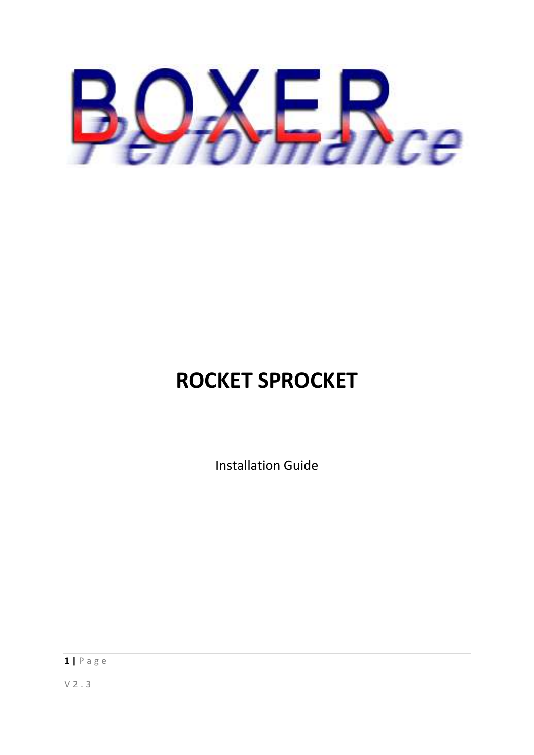

# **ROCKET SPROCKET**

Installation Guide

**1 |** P a g e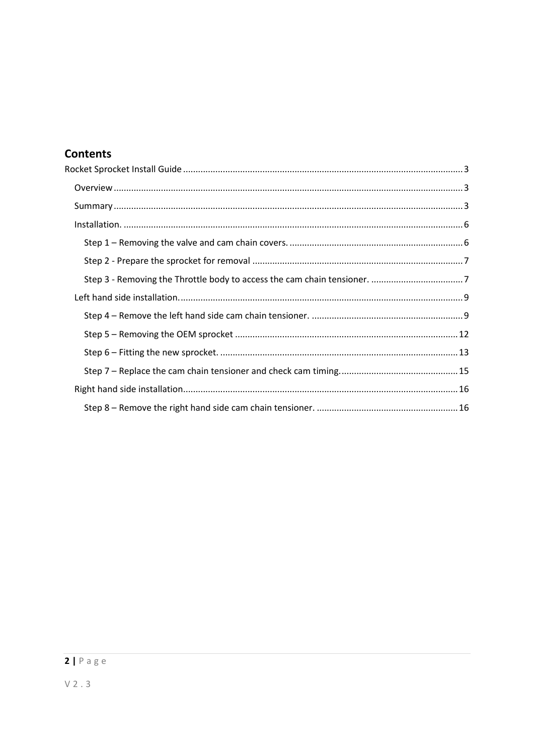## **Contents**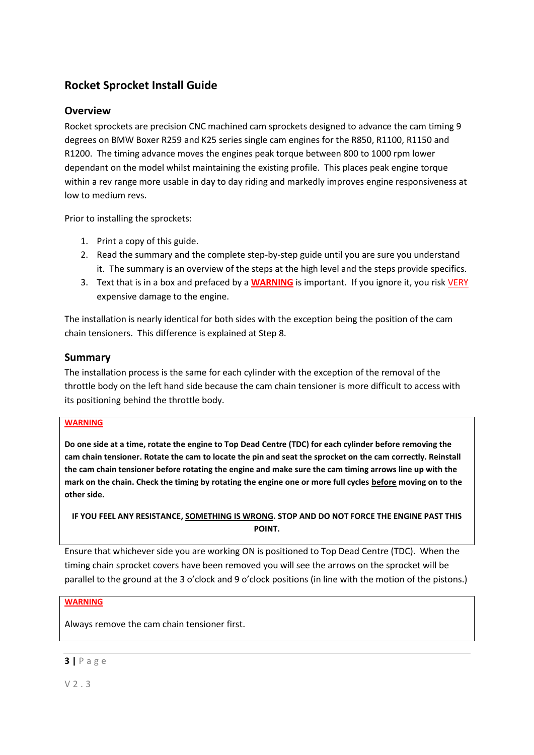## <span id="page-2-0"></span>**Rocket Sprocket Install Guide**

## <span id="page-2-1"></span>**Overview**

Rocket sprockets are precision CNC machined cam sprockets designed to advance the cam timing 9 degrees on BMW Boxer R259 and K25 series single cam engines for the R850, R1100, R1150 and R1200. The timing advance moves the engines peak torque between 800 to 1000 rpm lower dependant on the model whilst maintaining the existing profile. This places peak engine torque within a rev range more usable in day to day riding and markedly improves engine responsiveness at low to medium revs.

Prior to installing the sprockets:

- 1. Print a copy of this guide.
- 2. Read the summary and the complete step-by-step guide until you are sure you understand it. The summary is an overview of the steps at the high level and the steps provide specifics.
- 3. Text that is in a box and prefaced by a **WARNING** is important. If you ignore it, you risk VERY expensive damage to the engine.

The installation is nearly identical for both sides with the exception being the position of the cam chain tensioners. This difference is explained at Step 8.

## <span id="page-2-2"></span>**Summary**

The installation process is the same for each cylinder with the exception of the removal of the throttle body on the left hand side because the cam chain tensioner is more difficult to access with its positioning behind the throttle body.

#### **WARNING**

**Do one side at a time, rotate the engine to Top Dead Centre (TDC) for each cylinder before removing the cam chain tensioner. Rotate the cam to locate the pin and seat the sprocket on the cam correctly. Reinstall the cam chain tensioner before rotating the engine and make sure the cam timing arrows line up with the mark on the chain. Check the timing by rotating the engine one or more full cycles before moving on to the other side.**

```
IF YOU FEEL ANY RESISTANCE, SOMETHING IS WRONG. STOP AND DO NOT FORCE THE ENGINE PAST THIS 
                              POINT.
```
Ensure that whichever side you are working ON is positioned to Top Dead Centre (TDC). When the timing chain sprocket covers have been removed you will see the arrows on the sprocket will be parallel to the ground at the 3 o'clock and 9 o'clock positions (in line with the motion of the pistons.)

## **WARNING**

Always remove the cam chain tensioner first.

## **3 |** P a g e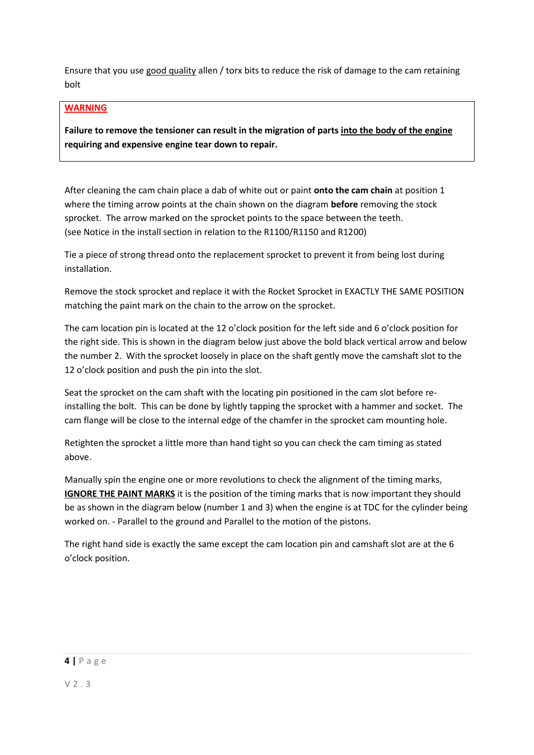Ensure that you use good quality allen / torx bits to reduce the risk of damage to the cam retaining bolt

## **WARNING**

**Failure to remove the tensioner can result in the migration of parts into the body of the engine requiring and expensive engine tear down to repair.**

After cleaning the cam chain place a dab of white out or paint **onto the cam chain** at position 1 where the timing arrow points at the chain shown on the diagram **before** removing the stock sprocket. The arrow marked on the sprocket points to the space between the teeth. (see Notice in the install section in relation to the R1100/R1150 and R1200)

Tie a piece of strong thread onto the replacement sprocket to prevent it from being lost during installation.

Remove the stock sprocket and replace it with the Rocket Sprocket in EXACTLY THE SAME POSITION matching the paint mark on the chain to the arrow on the sprocket.

The cam location pin is located at the 12 o'clock position for the left side and 6 o'clock position for the right side. This is shown in the diagram below just above the bold black vertical arrow and below the number 2. With the sprocket loosely in place on the shaft gently move the camshaft slot to the 12 o'clock position and push the pin into the slot.

Seat the sprocket on the cam shaft with the locating pin positioned in the cam slot before reinstalling the bolt. This can be done by lightly tapping the sprocket with a hammer and socket. The cam flange will be close to the internal edge of the chamfer in the sprocket cam mounting hole.

Retighten the sprocket a little more than hand tight so you can check the cam timing as stated above.

Manually spin the engine one or more revolutions to check the alignment of the timing marks, **IGNORE THE PAINT MARKS** it is the position of the timing marks that is now important they should be as shown in the diagram below (number 1 and 3) when the engine is at TDC for the cylinder being worked on. - Parallel to the ground and Parallel to the motion of the pistons.

The right hand side is exactly the same except the cam location pin and camshaft slot are at the 6 o'clock position.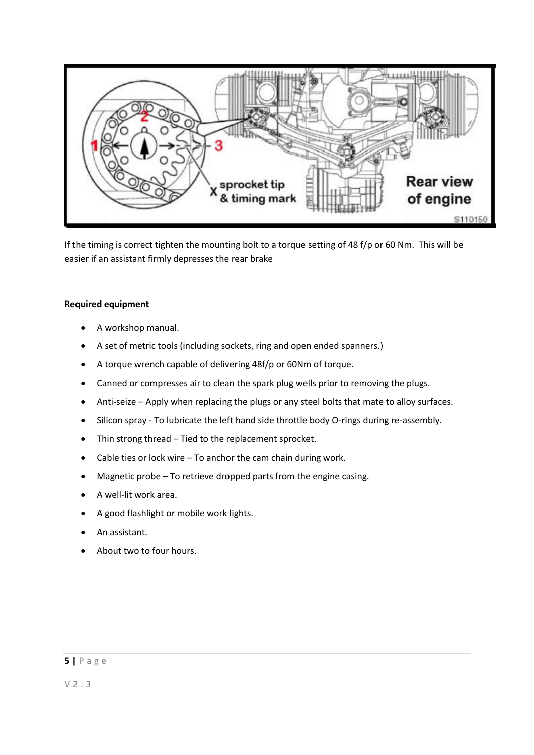

If the timing is correct tighten the mounting bolt to a torque setting of 48 f/p or 60 Nm. This will be easier if an assistant firmly depresses the rear brake

## **Required equipment**

- A workshop manual.
- A set of metric tools (including sockets, ring and open ended spanners.)
- A torque wrench capable of delivering 48f/p or 60Nm of torque.
- Canned or compresses air to clean the spark plug wells prior to removing the plugs.
- Anti-seize Apply when replacing the plugs or any steel bolts that mate to alloy surfaces.
- Silicon spray To lubricate the left hand side throttle body O-rings during re-assembly.
- Thin strong thread Tied to the replacement sprocket.
- $\bullet$  Cable ties or lock wire To anchor the cam chain during work.
- Magnetic probe To retrieve dropped parts from the engine casing.
- A well-lit work area.
- A good flashlight or mobile work lights.
- An assistant.
- About two to four hours.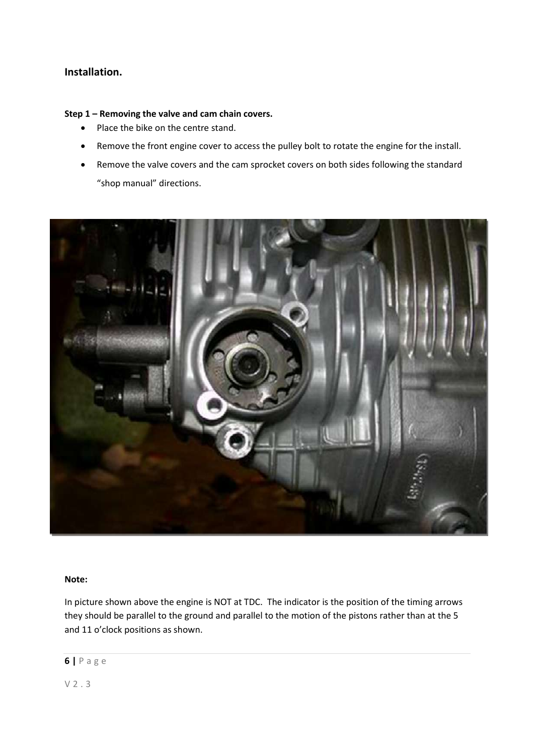## <span id="page-5-0"></span>**Installation.**

## <span id="page-5-1"></span>**Step 1 – Removing the valve and cam chain covers.**

- Place the bike on the centre stand.
- Remove the front engine cover to access the pulley bolt to rotate the engine for the install.
- Remove the valve covers and the cam sprocket covers on both sides following the standard "shop manual" directions.



#### **Note:**

In picture shown above the engine is NOT at TDC. The indicator is the position of the timing arrows they should be parallel to the ground and parallel to the motion of the pistons rather than at the 5 and 11 o'clock positions as shown.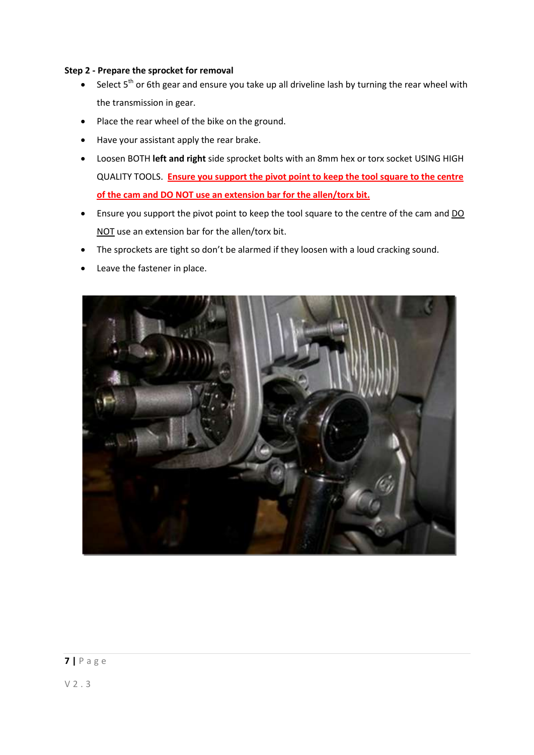## <span id="page-6-0"></span>**Step 2 - Prepare the sprocket for removal**

- $\bullet$  Select 5<sup>th</sup> or 6th gear and ensure you take up all driveline lash by turning the rear wheel with the transmission in gear.
- Place the rear wheel of the bike on the ground.
- Have your assistant apply the rear brake.
- Loosen BOTH **left and right** side sprocket bolts with an 8mm hex or torx socket USING HIGH QUALITY TOOLS. **Ensure you support the pivot point to keep the tool square to the centre of the cam and DO NOT use an extension bar for the allen/torx bit.**
- Ensure you support the pivot point to keep the tool square to the centre of the cam and DO NOT use an extension bar for the allen/torx bit.
- The sprockets are tight so don't be alarmed if they loosen with a loud cracking sound.
- Leave the fastener in place.

<span id="page-6-1"></span>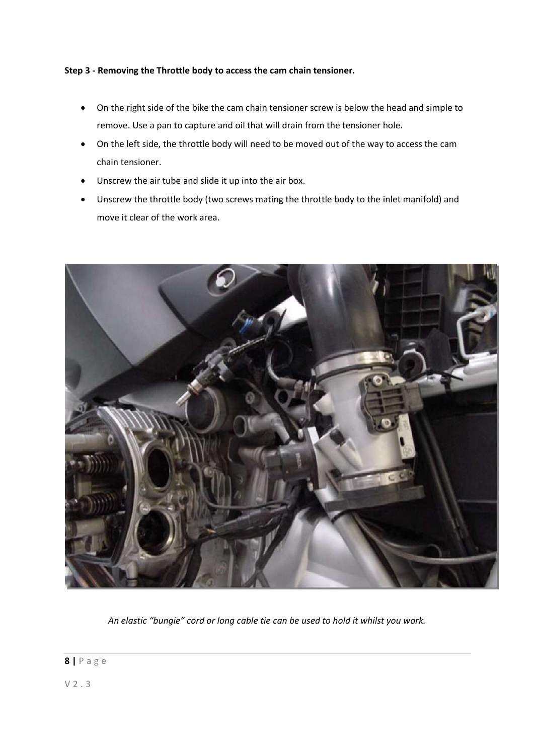## **Step 3 - Removing the Throttle body to access the cam chain tensioner.**

- On the right side of the bike the cam chain tensioner screw is below the head and simple to remove. Use a pan to capture and oil that will drain from the tensioner hole.
- On the left side, the throttle body will need to be moved out of the way to access the cam chain tensioner.
- Unscrew the air tube and slide it up into the air box.
- Unscrew the throttle body (two screws mating the throttle body to the inlet manifold) and move it clear of the work area.



*An elastic "bungie" cord or long cable tie can be used to hold it whilst you work.*

**8 |** P a g e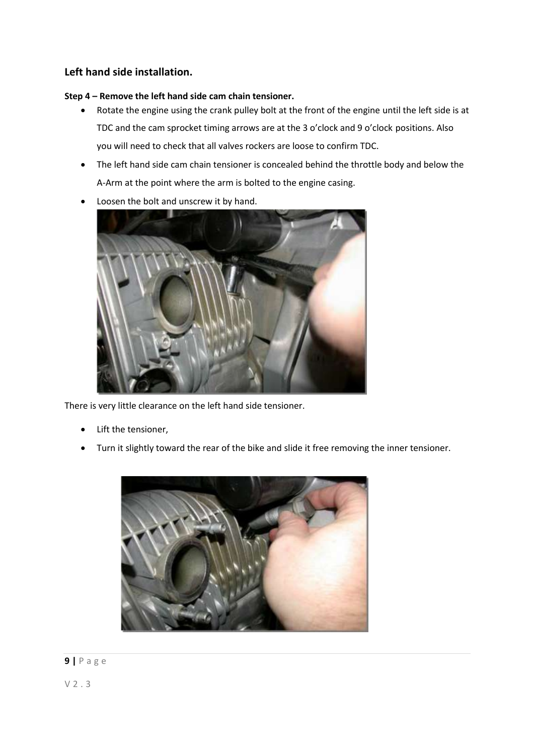## <span id="page-8-0"></span>**Left hand side installation.**

## <span id="page-8-1"></span>**Step 4 – Remove the left hand side cam chain tensioner.**

- Rotate the engine using the crank pulley bolt at the front of the engine until the left side is at TDC and the cam sprocket timing arrows are at the 3 o'clock and 9 o'clock positions. Also you will need to check that all valves rockers are loose to confirm TDC.
- The left hand side cam chain tensioner is concealed behind the throttle body and below the A-Arm at the point where the arm is bolted to the engine casing.
- Loosen the bolt and unscrew it by hand.



There is very little clearance on the left hand side tensioner.

- Lift the tensioner,
- Turn it slightly toward the rear of the bike and slide it free removing the inner tensioner.



## **9 |** P a g e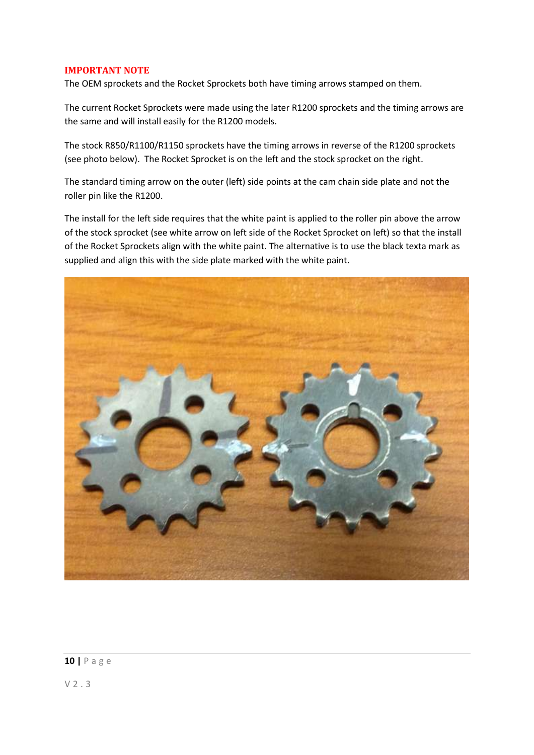## **IMPORTANT NOTE**

The OEM sprockets and the Rocket Sprockets both have timing arrows stamped on them.

The current Rocket Sprockets were made using the later R1200 sprockets and the timing arrows are the same and will install easily for the R1200 models.

The stock R850/R1100/R1150 sprockets have the timing arrows in reverse of the R1200 sprockets (see photo below). The Rocket Sprocket is on the left and the stock sprocket on the right.

The standard timing arrow on the outer (left) side points at the cam chain side plate and not the roller pin like the R1200.

The install for the left side requires that the white paint is applied to the roller pin above the arrow of the stock sprocket (see white arrow on left side of the Rocket Sprocket on left) so that the install of the Rocket Sprockets align with the white paint. The alternative is to use the black texta mark as supplied and align this with the side plate marked with the white paint.



## **10 |** P a g e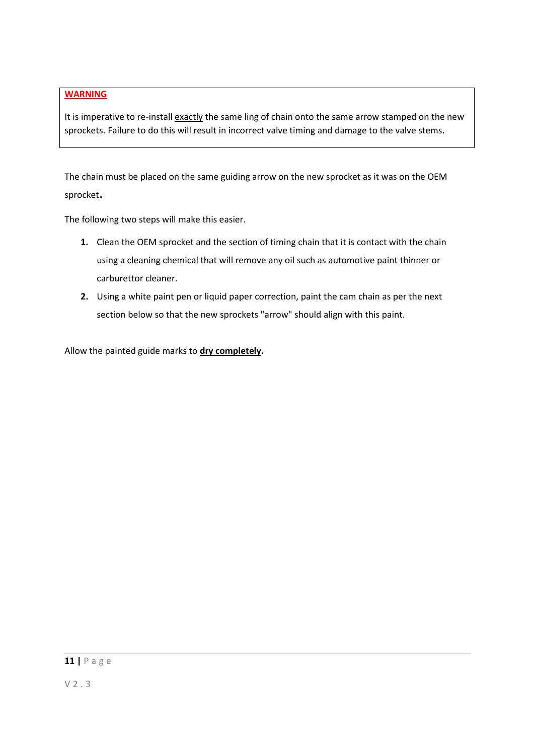## **WARNING**

It is imperative to re-install exactly the same ling of chain onto the same arrow stamped on the new sprockets. Failure to do this will result in incorrect valve timing and damage to the valve stems.

The chain must be placed on the same guiding arrow on the new sprocket as it was on the OEM sprocket.

The following two steps will make this easier.

- **1.** Clean the OEM sprocket and the section of timing chain that it is contact with the chain using a cleaning chemical that will remove any oil such as automotive paint thinner or carburettor cleaner.
- **2.** Using a white paint pen or liquid paper correction, paint the cam chain as per the next section below so that the new sprockets "arrow" should align with this paint.

Allow the painted guide marks to **dry completely.**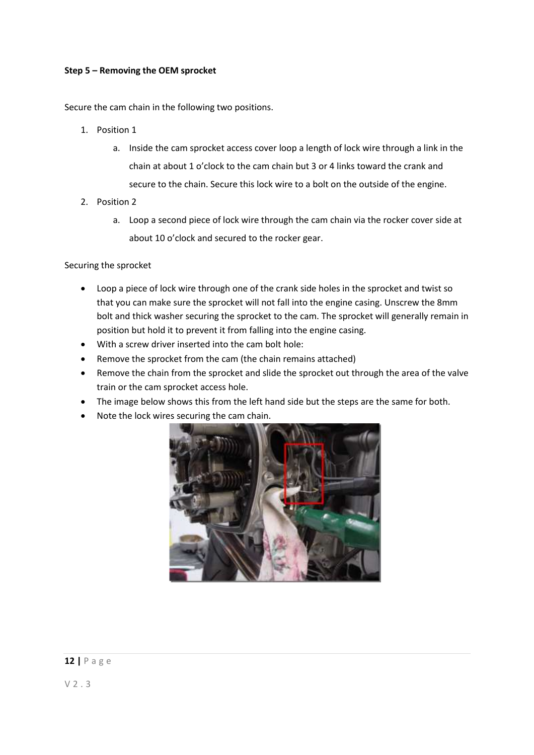#### <span id="page-11-0"></span>**Step 5 – Removing the OEM sprocket**

Secure the cam chain in the following two positions.

- 1. Position 1
	- a. Inside the cam sprocket access cover loop a length of lock wire through a link in the chain at about 1 o'clock to the cam chain but 3 or 4 links toward the crank and secure to the chain. Secure this lock wire to a bolt on the outside of the engine.
- 2. Position 2
	- a. Loop a second piece of lock wire through the cam chain via the rocker cover side at about 10 o'clock and secured to the rocker gear.

Securing the sprocket

- Loop a piece of lock wire through one of the crank side holes in the sprocket and twist so that you can make sure the sprocket will not fall into the engine casing. Unscrew the 8mm bolt and thick washer securing the sprocket to the cam. The sprocket will generally remain in position but hold it to prevent it from falling into the engine casing.
- With a screw driver inserted into the cam bolt hole:
- Remove the sprocket from the cam (the chain remains attached)
- Remove the chain from the sprocket and slide the sprocket out through the area of the valve train or the cam sprocket access hole.
- The image below shows this from the left hand side but the steps are the same for both.
- Note the lock wires securing the cam chain.



## **12 |** P a g e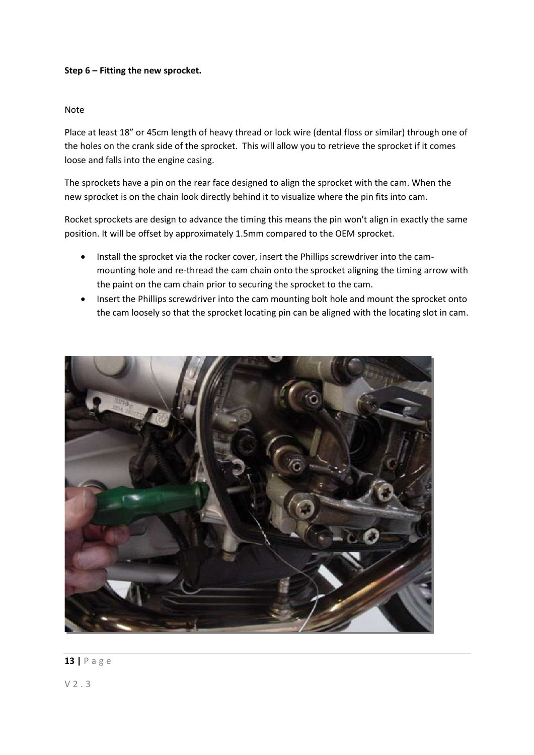## <span id="page-12-0"></span>**Step 6 – Fitting the new sprocket.**

## Note

Place at least 18" or 45cm length of heavy thread or lock wire (dental floss or similar) through one of the holes on the crank side of the sprocket. This will allow you to retrieve the sprocket if it comes loose and falls into the engine casing.

The sprockets have a pin on the rear face designed to align the sprocket with the cam. When the new sprocket is on the chain look directly behind it to visualize where the pin fits into cam.

Rocket sprockets are design to advance the timing this means the pin won't align in exactly the same position. It will be offset by approximately 1.5mm compared to the OEM sprocket.

- Install the sprocket via the rocker cover, insert the Phillips screwdriver into the cammounting hole and re-thread the cam chain onto the sprocket aligning the timing arrow with the paint on the cam chain prior to securing the sprocket to the cam.
- Insert the Phillips screwdriver into the cam mounting bolt hole and mount the sprocket onto the cam loosely so that the sprocket locating pin can be aligned with the locating slot in cam.

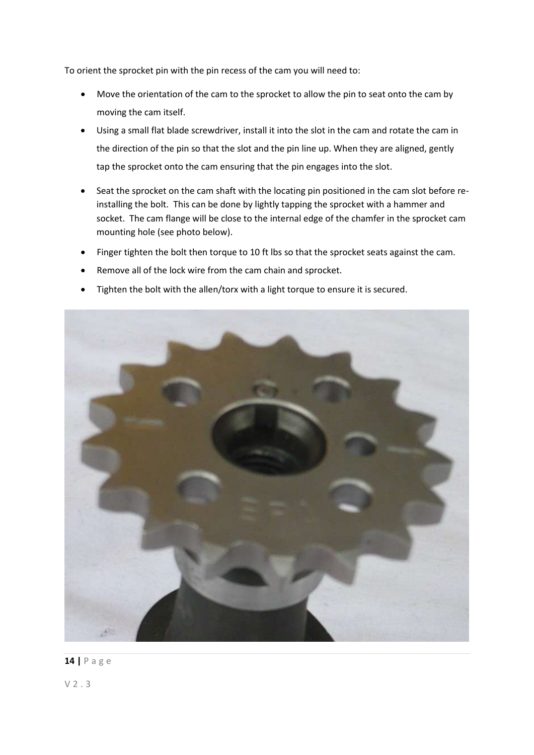To orient the sprocket pin with the pin recess of the cam you will need to:

- Move the orientation of the cam to the sprocket to allow the pin to seat onto the cam by moving the cam itself.
- Using a small flat blade screwdriver, install it into the slot in the cam and rotate the cam in the direction of the pin so that the slot and the pin line up. When they are aligned, gently tap the sprocket onto the cam ensuring that the pin engages into the slot.
- Seat the sprocket on the cam shaft with the locating pin positioned in the cam slot before reinstalling the bolt. This can be done by lightly tapping the sprocket with a hammer and socket. The cam flange will be close to the internal edge of the chamfer in the sprocket cam mounting hole (see photo below).
- Finger tighten the bolt then torque to 10 ft lbs so that the sprocket seats against the cam.
- Remove all of the lock wire from the cam chain and sprocket.
- Tighten the bolt with the allen/torx with a light torque to ensure it is secured.



**14 |** P a g e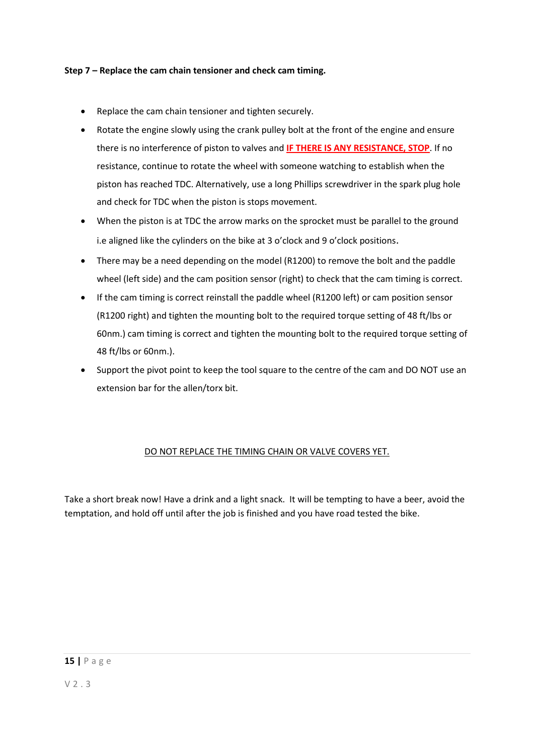#### <span id="page-14-0"></span>**Step 7 – Replace the cam chain tensioner and check cam timing.**

- Replace the cam chain tensioner and tighten securely.
- Rotate the engine slowly using the crank pulley bolt at the front of the engine and ensure there is no interference of piston to valves and **IF THERE IS ANY RESISTANCE, STOP**. If no resistance, continue to rotate the wheel with someone watching to establish when the piston has reached TDC. Alternatively, use a long Phillips screwdriver in the spark plug hole and check for TDC when the piston is stops movement.
- When the piston is at TDC the arrow marks on the sprocket must be parallel to the ground i.e aligned like the cylinders on the bike at 3 o'clock and 9 o'clock positions.
- There may be a need depending on the model (R1200) to remove the bolt and the paddle wheel (left side) and the cam position sensor (right) to check that the cam timing is correct.
- If the cam timing is correct reinstall the paddle wheel (R1200 left) or cam position sensor (R1200 right) and tighten the mounting bolt to the required torque setting of 48 ft/lbs or 60nm.) cam timing is correct and tighten the mounting bolt to the required torque setting of 48 ft/lbs or 60nm.).
- Support the pivot point to keep the tool square to the centre of the cam and DO NOT use an extension bar for the allen/torx bit.

## DO NOT REPLACE THE TIMING CHAIN OR VALVE COVERS YET.

Take a short break now! Have a drink and a light snack. It will be tempting to have a beer, avoid the temptation, and hold off until after the job is finished and you have road tested the bike.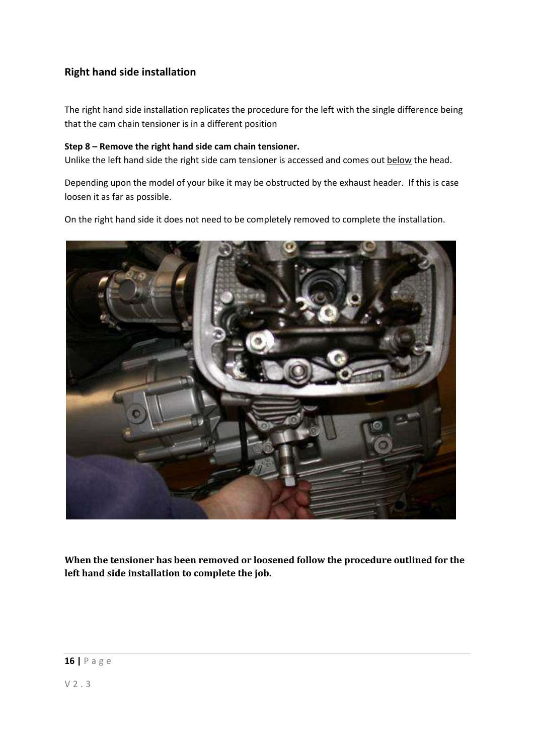## <span id="page-15-0"></span>**Right hand side installation**

The right hand side installation replicates the procedure for the left with the single difference being that the cam chain tensioner is in a different position

## <span id="page-15-1"></span>**Step 8 – Remove the right hand side cam chain tensioner.**

Unlike the left hand side the right side cam tensioner is accessed and comes out below the head.

Depending upon the model of your bike it may be obstructed by the exhaust header. If this is case loosen it as far as possible.

On the right hand side it does not need to be completely removed to complete the installation.



**When the tensioner has been removed or loosened follow the procedure outlined for the left hand side installation to complete the job.**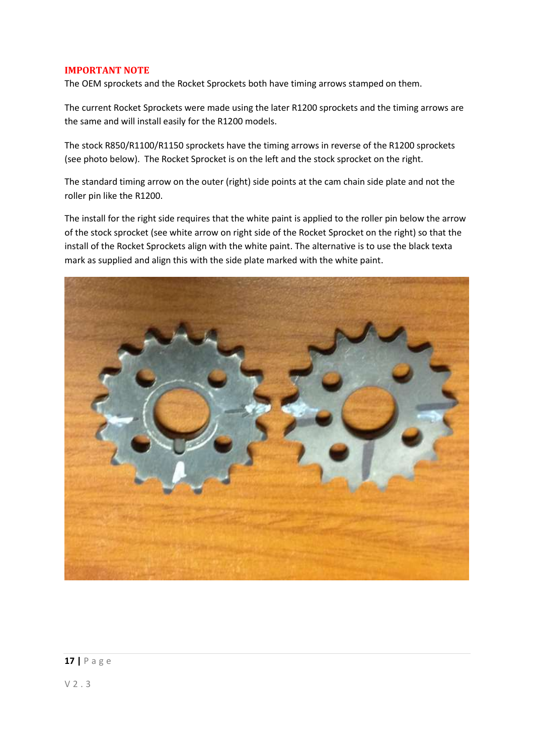## **IMPORTANT NOTE**

The OEM sprockets and the Rocket Sprockets both have timing arrows stamped on them.

The current Rocket Sprockets were made using the later R1200 sprockets and the timing arrows are the same and will install easily for the R1200 models.

The stock R850/R1100/R1150 sprockets have the timing arrows in reverse of the R1200 sprockets (see photo below). The Rocket Sprocket is on the left and the stock sprocket on the right.

The standard timing arrow on the outer (right) side points at the cam chain side plate and not the roller pin like the R1200.

The install for the right side requires that the white paint is applied to the roller pin below the arrow of the stock sprocket (see white arrow on right side of the Rocket Sprocket on the right) so that the install of the Rocket Sprockets align with the white paint. The alternative is to use the black texta mark as supplied and align this with the side plate marked with the white paint.



## **17 |** P a g e